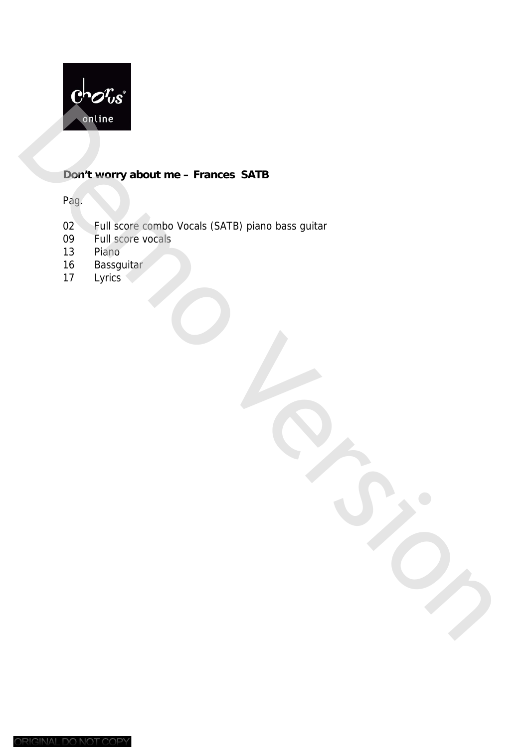

### **Don't worry about me – Frances SATB**

Pag.

- 02 Full score combo Vocals (SATB) piano bass guitar<br>09 Full score vocals Frage Control Vocals (SATB) plano bass guitar<br>
17 Democratic Vocals (SATB) plano bass guitar<br>
17 Lyrics<br>
17 Lyrics<br>
17 Lyrics<br>
17 Lyrics
	- Full score vocals
	- 13 Piano
	- 16 Bassguitar<br>17 Lyrics
	-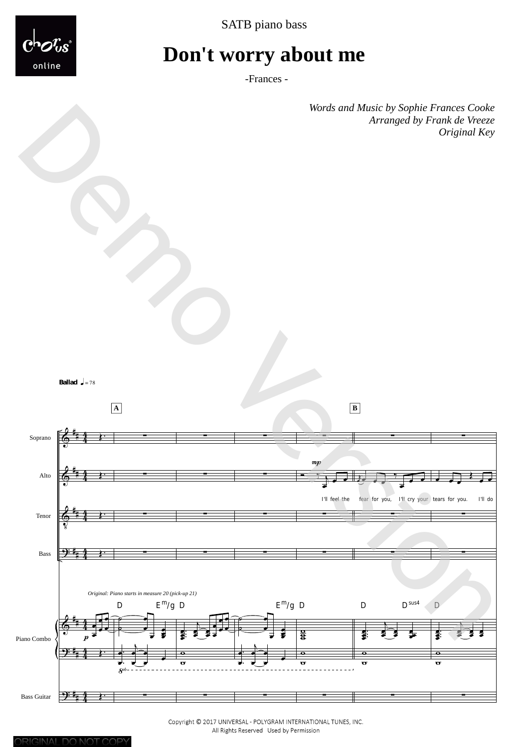



# **Don't worry about me**

-Frances -

*Words and Music by Sophie Frances Cooke Original Key* 





Copyright © 2017 UNIVERSAL - POLYGRAM INTERNATIONAL TUNES, INC. All Rights Reserved Used by Permission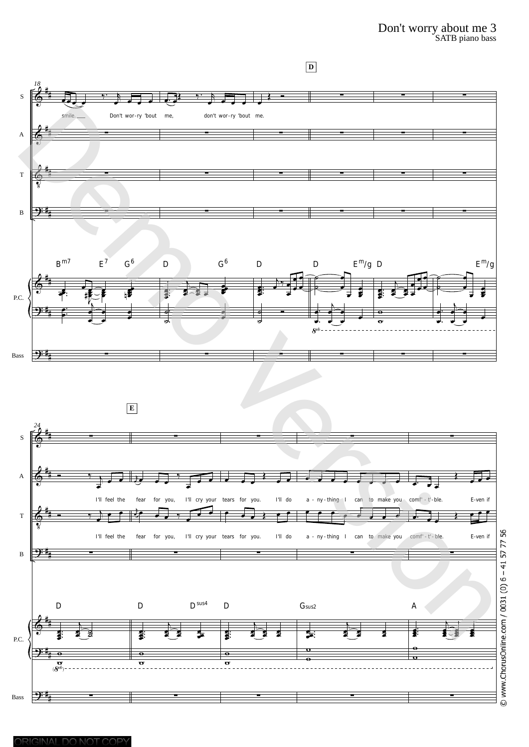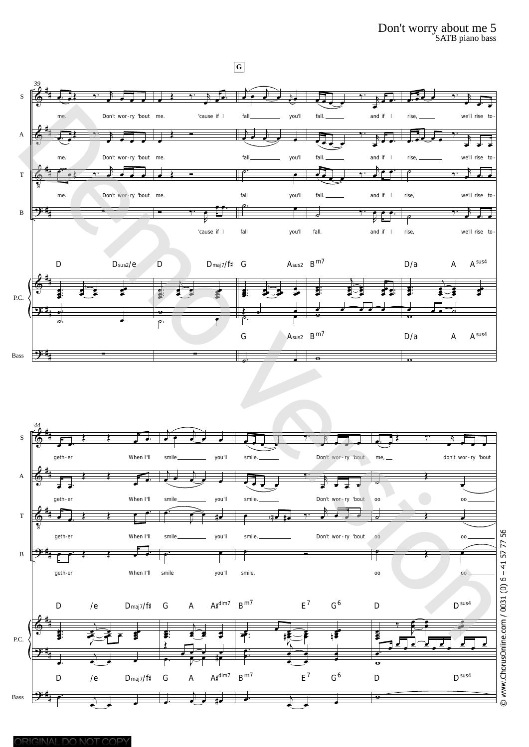## Don't worry about me 5<br>SATB piano bass

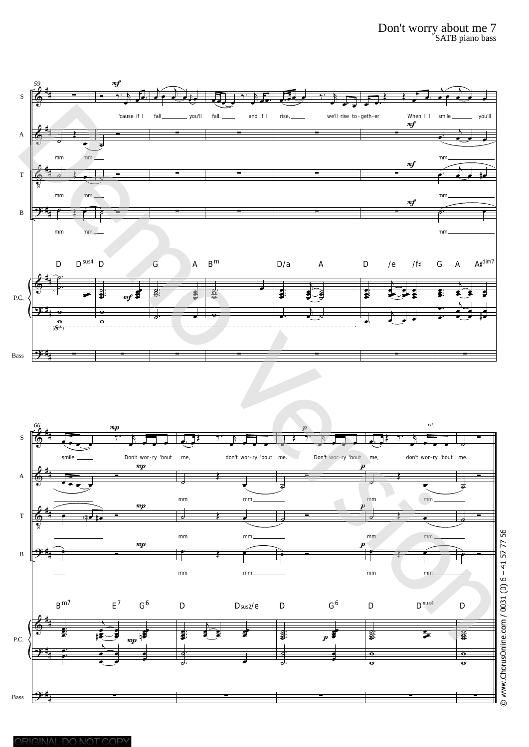



© www.ChorusOnline.com / 0031 (0) 6 - 41 57 77 56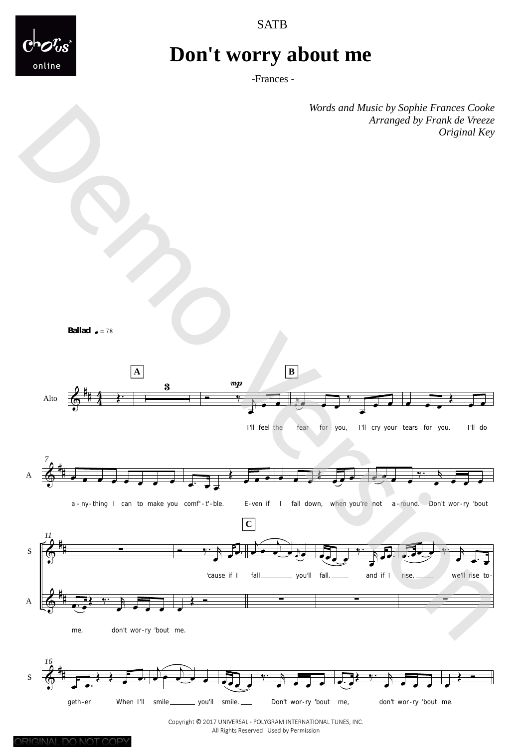



### **Don't worry about me**

-Frances -

*Words and Music by Sophie Frances Cooke Original Key* 

**Ballad**  $\sqrt{ }$  = 78



Copyright © 2017 UNIVERSAL - POLYGRAM INTERNATIONAL TUNES, INC. All Rights Reserved Used by Permission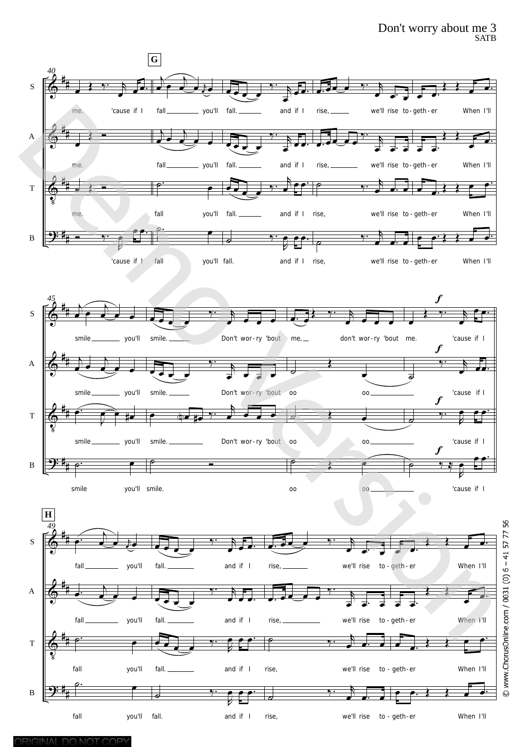#### Don't worry about me 3 SATB



© www.ChorusOnline.com / 0031 (0) 6 - 41 57 77 56

fall you'll

 $\frac{1}{\sqrt{2}}$ 

fall. and if I

.<br>م م م

<u>.</u>

B

# #

e e.} } e e

 $\rightarrow$   $\rightarrow$   $\rightarrow$ 

to - geth-er

rise, we'll rise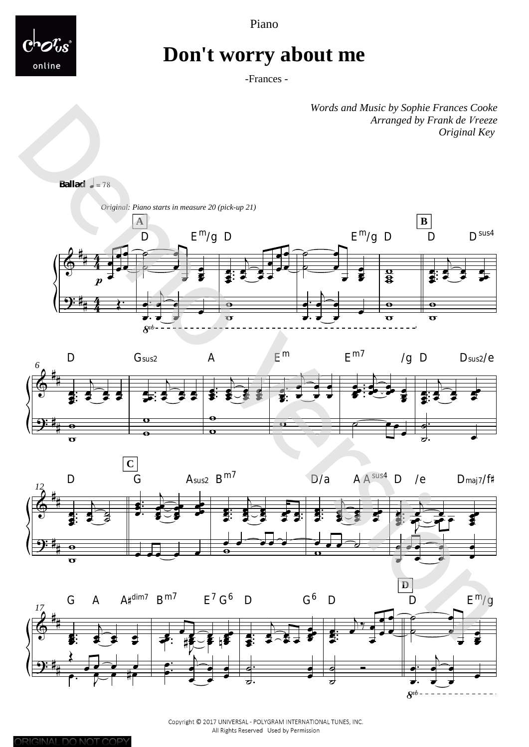Piano



### Don't worry about me

-Frances -

Words and Music by Sophie Frances Cooke Arranged by Frank de Vreeze Original Key

**Ballad**  $=78$ 









Copyright © 2017 UNIVERSAL - POLYGRAM INTERNATIONAL TUNES, INC. All Rights Reserved Used by Permission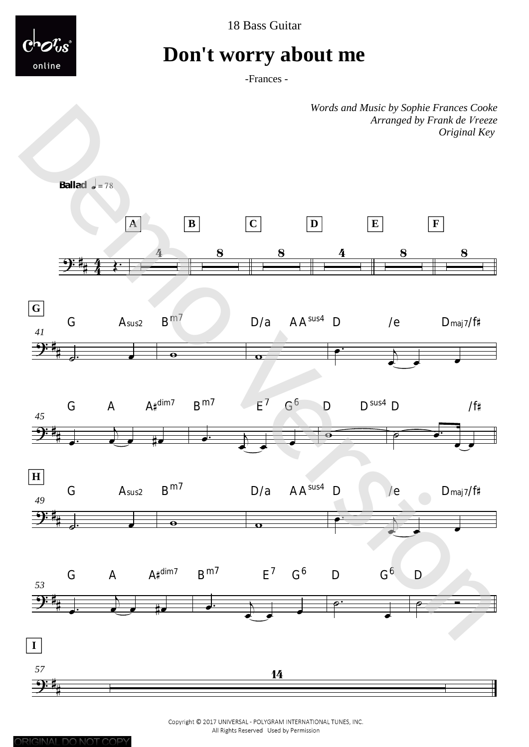



### **Don't worry about me**

-Frances -